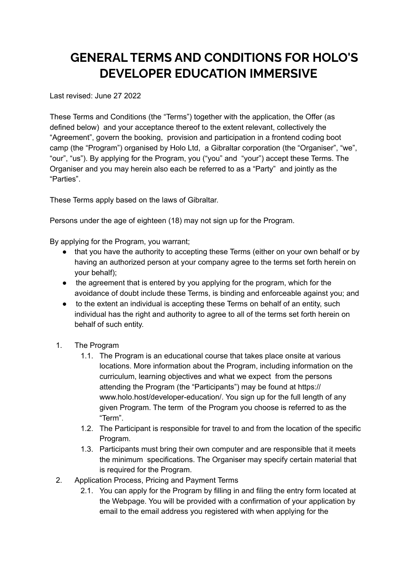## **GENERAL TERMS AND CONDITIONS FOR HOLO'S DEVELOPER EDUCATION IMMERSIVE**

Last revised: June 27 2022

These Terms and Conditions (the "Terms") together with the application, the Offer (as defined below) and your acceptance thereof to the extent relevant, collectively the "Agreement", govern the booking, provision and participation in a frontend coding boot camp (the "Program") organised by Holo Ltd, a Gibraltar corporation (the "Organiser", "we", "our", "us"). By applying for the Program, you ("you" and "your") accept these Terms. The Organiser and you may herein also each be referred to as a "Party" and jointly as the "Parties".

These Terms apply based on the laws of Gibraltar.

Persons under the age of eighteen (18) may not sign up for the Program.

By applying for the Program, you warrant;

- that you have the authority to accepting these Terms (either on your own behalf or by having an authorized person at your company agree to the terms set forth herein on your behalf);
- the agreement that is entered by you applying for the program, which for the avoidance of doubt include these Terms, is binding and enforceable against you; and
- to the extent an individual is accepting these Terms on behalf of an entity, such individual has the right and authority to agree to all of the terms set forth herein on behalf of such entity.
- 1. The Program
	- 1.1. The Program is an educational course that takes place onsite at various locations. More information about the Program, including information on the curriculum, learning objectives and what we expect from the persons attending the Program (the "Participants") may be found at https:// www.holo.host/developer-education/. You sign up for the full length of any given Program. The term of the Program you choose is referred to as the "Term".
	- 1.2. The Participant is responsible for travel to and from the location of the specific Program.
	- 1.3. Participants must bring their own computer and are responsible that it meets the minimum specifications. The Organiser may specify certain material that is required for the Program.
- 2. Application Process, Pricing and Payment Terms
	- 2.1. You can apply for the Program by filling in and filing the entry form located at the Webpage. You will be provided with a confirmation of your application by email to the email address you registered with when applying for the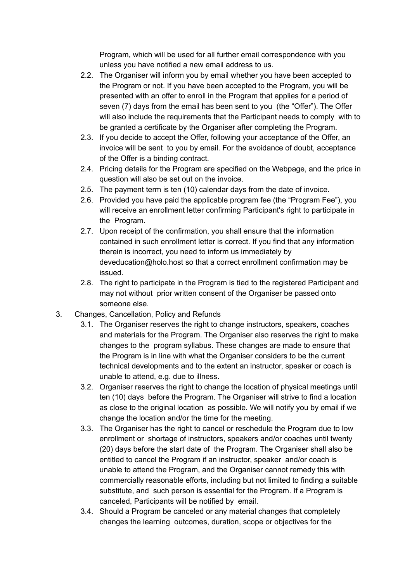Program, which will be used for all further email correspondence with you unless you have notified a new email address to us.

- 2.2. The Organiser will inform you by email whether you have been accepted to the Program or not. If you have been accepted to the Program, you will be presented with an offer to enroll in the Program that applies for a period of seven (7) days from the email has been sent to you (the "Offer"). The Offer will also include the requirements that the Participant needs to comply with to be granted a certificate by the Organiser after completing the Program.
- 2.3. If you decide to accept the Offer, following your acceptance of the Offer, an invoice will be sent to you by email. For the avoidance of doubt, acceptance of the Offer is a binding contract.
- 2.4. Pricing details for the Program are specified on the Webpage, and the price in question will also be set out on the invoice.
- 2.5. The payment term is ten (10) calendar days from the date of invoice.
- 2.6. Provided you have paid the applicable program fee (the "Program Fee"), you will receive an enrollment letter confirming Participant's right to participate in the Program.
- 2.7. Upon receipt of the confirmation, you shall ensure that the information contained in such enrollment letter is correct. If you find that any information therein is incorrect, you need to inform us immediately by deveducation@holo.host so that a correct enrollment confirmation may be issued.
- 2.8. The right to participate in the Program is tied to the registered Participant and may not without prior written consent of the Organiser be passed onto someone else.
- 3. Changes, Cancellation, Policy and Refunds
	- 3.1. The Organiser reserves the right to change instructors, speakers, coaches and materials for the Program. The Organiser also reserves the right to make changes to the program syllabus. These changes are made to ensure that the Program is in line with what the Organiser considers to be the current technical developments and to the extent an instructor, speaker or coach is unable to attend, e.g. due to illness.
	- 3.2. Organiser reserves the right to change the location of physical meetings until ten (10) days before the Program. The Organiser will strive to find a location as close to the original location as possible. We will notify you by email if we change the location and/or the time for the meeting.
	- 3.3. The Organiser has the right to cancel or reschedule the Program due to low enrollment or shortage of instructors, speakers and/or coaches until twenty (20) days before the start date of the Program. The Organiser shall also be entitled to cancel the Program if an instructor, speaker and/or coach is unable to attend the Program, and the Organiser cannot remedy this with commercially reasonable efforts, including but not limited to finding a suitable substitute, and such person is essential for the Program. If a Program is canceled, Participants will be notified by email.
	- 3.4. Should a Program be canceled or any material changes that completely changes the learning outcomes, duration, scope or objectives for the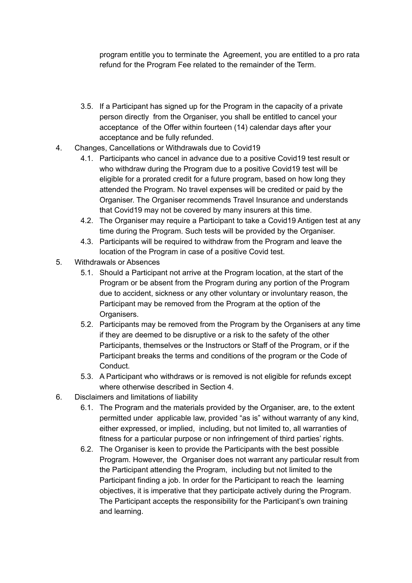program entitle you to terminate the Agreement, you are entitled to a pro rata refund for the Program Fee related to the remainder of the Term.

- 3.5. If a Participant has signed up for the Program in the capacity of a private person directly from the Organiser, you shall be entitled to cancel your acceptance of the Offer within fourteen (14) calendar days after your acceptance and be fully refunded.
- 4. Changes, Cancellations or Withdrawals due to Covid19
	- 4.1. Participants who cancel in advance due to a positive Covid19 test result or who withdraw during the Program due to a positive Covid19 test will be eligible for a prorated credit for a future program, based on how long they attended the Program. No travel expenses will be credited or paid by the Organiser. The Organiser recommends Travel Insurance and understands that Covid19 may not be covered by many insurers at this time.
	- 4.2. The Organiser may require a Participant to take a Covid19 Antigen test at any time during the Program. Such tests will be provided by the Organiser.
	- 4.3. Participants will be required to withdraw from the Program and leave the location of the Program in case of a positive Covid test.
- 5. Withdrawals or Absences
	- 5.1. Should a Participant not arrive at the Program location, at the start of the Program or be absent from the Program during any portion of the Program due to accident, sickness or any other voluntary or involuntary reason, the Participant may be removed from the Program at the option of the Organisers.
	- 5.2. Participants may be removed from the Program by the Organisers at any time if they are deemed to be disruptive or a risk to the safety of the other Participants, themselves or the Instructors or Staff of the Program, or if the Participant breaks the terms and conditions of the program or the Code of Conduct.
	- 5.3. A Participant who withdraws or is removed is not eligible for refunds except where otherwise described in Section 4.
- 6. Disclaimers and limitations of liability
	- 6.1. The Program and the materials provided by the Organiser, are, to the extent permitted under applicable law, provided "as is" without warranty of any kind, either expressed, or implied, including, but not limited to, all warranties of fitness for a particular purpose or non infringement of third parties' rights.
	- 6.2. The Organiser is keen to provide the Participants with the best possible Program. However, the Organiser does not warrant any particular result from the Participant attending the Program, including but not limited to the Participant finding a job. In order for the Participant to reach the learning objectives, it is imperative that they participate actively during the Program. The Participant accepts the responsibility for the Participant's own training and learning.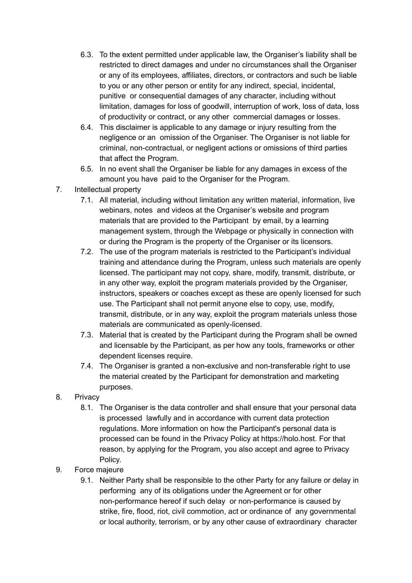- 6.3. To the extent permitted under applicable law, the Organiser's liability shall be restricted to direct damages and under no circumstances shall the Organiser or any of its employees, affiliates, directors, or contractors and such be liable to you or any other person or entity for any indirect, special, incidental, punitive or consequential damages of any character, including without limitation, damages for loss of goodwill, interruption of work, loss of data, loss of productivity or contract, or any other commercial damages or losses.
- 6.4. This disclaimer is applicable to any damage or injury resulting from the negligence or an omission of the Organiser. The Organiser is not liable for criminal, non-contractual, or negligent actions or omissions of third parties that affect the Program.
- 6.5. In no event shall the Organiser be liable for any damages in excess of the amount you have paid to the Organiser for the Program.
- 7. Intellectual property
	- 7.1. All material, including without limitation any written material, information, live webinars, notes and videos at the Organiser's website and program materials that are provided to the Participant by email, by a learning management system, through the Webpage or physically in connection with or during the Program is the property of the Organiser or its licensors.
	- 7.2. The use of the program materials is restricted to the Participant's individual training and attendance during the Program, unless such materials are openly licensed. The participant may not copy, share, modify, transmit, distribute, or in any other way, exploit the program materials provided by the Organiser, instructors, speakers or coaches except as these are openly licensed for such use. The Participant shall not permit anyone else to copy, use, modify, transmit, distribute, or in any way, exploit the program materials unless those materials are communicated as openly-licensed.
	- 7.3. Material that is created by the Participant during the Program shall be owned and licensable by the Participant, as per how any tools, frameworks or other dependent licenses require.
	- 7.4. The Organiser is granted a non-exclusive and non-transferable right to use the material created by the Participant for demonstration and marketing purposes.
- 8. Privacy
	- 8.1. The Organiser is the data controller and shall ensure that your personal data is processed lawfully and in accordance with current data protection regulations. More information on how the Participant's personal data is processed can be found in the Privacy Policy at https://holo.host. For that reason, by applying for the Program, you also accept and agree to Privacy Policy.
- 9. Force majeure
	- 9.1. Neither Party shall be responsible to the other Party for any failure or delay in performing any of its obligations under the Agreement or for other non-performance hereof if such delay or non-performance is caused by strike, fire, flood, riot, civil commotion, act or ordinance of any governmental or local authority, terrorism, or by any other cause of extraordinary character